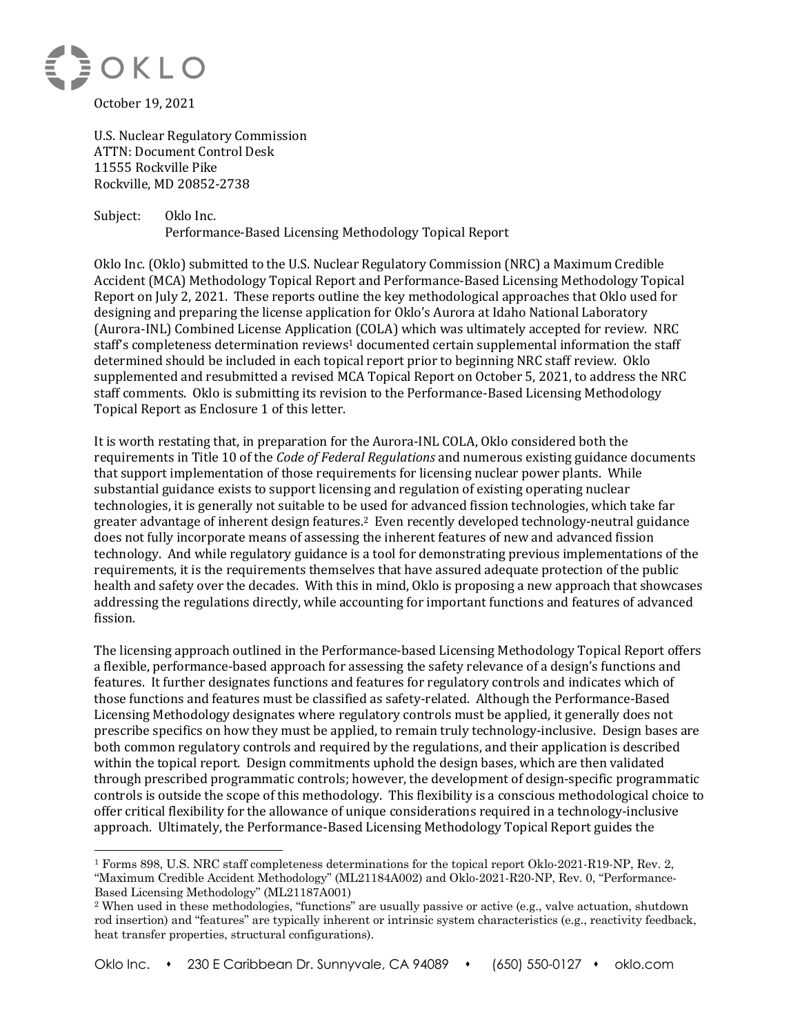

U.S. Nuclear Regulatory Commission **ATTN: Document Control Desk** 11555 Rockville Pike Rockville, MD 20852-2738

Subject: Oklo Inc. Performance-Based Licensing Methodology Topical Report

Oklo Inc. (Oklo) submitted to the U.S. Nuclear Regulatory Commission (NRC) a Maximum Credible Accident (MCA) Methodology Topical Report and Performance-Based Licensing Methodology Topical Report on July 2, 2021. These reports outline the key methodological approaches that Oklo used for designing and preparing the license application for Oklo's Aurora at Idaho National Laboratory (Aurora-INL) Combined License Application (COLA) which was ultimately accepted for review. NRC staff's completeness determination reviews<sup>1</sup> documented certain supplemental information the staff determined should be included in each topical report prior to beginning NRC staff review. Oklo supplemented and resubmitted a revised MCA Topical Report on October 5, 2021, to address the NRC staff comments. Oklo is submitting its revision to the Performance-Based Licensing Methodology Topical Report as Enclosure 1 of this letter.

It is worth restating that, in preparation for the Aurora-INL COLA, Oklo considered both the requirements in Title 10 of the *Code of Federal Regulations* and numerous existing guidance documents that support implementation of those requirements for licensing nuclear power plants. While substantial guidance exists to support licensing and regulation of existing operating nuclear technologies, it is generally not suitable to be used for advanced fission technologies, which take far greater advantage of inherent design features.<sup>2</sup> Even recently developed technology-neutral guidance does not fully incorporate means of assessing the inherent features of new and advanced fission technology. And while regulatory guidance is a tool for demonstrating previous implementations of the requirements, it is the requirements themselves that have assured adequate protection of the public health and safety over the decades. With this in mind, Oklo is proposing a new approach that showcases addressing the regulations directly, while accounting for important functions and features of advanced fission.

The licensing approach outlined in the Performance-based Licensing Methodology Topical Report offers a flexible, performance-based approach for assessing the safety relevance of a design's functions and features. It further designates functions and features for regulatory controls and indicates which of those functions and features must be classified as safety-related. Although the Performance-Based Licensing Methodology designates where regulatory controls must be applied, it generally does not prescribe specifics on how they must be applied, to remain truly technology-inclusive. Design bases are both common regulatory controls and required by the regulations, and their application is described within the topical report. Design commitments uphold the design bases, which are then validated through prescribed programmatic controls; however, the development of design-specific programmatic controls is outside the scope of this methodology. This flexibility is a conscious methodological choice to offer critical flexibility for the allowance of unique considerations required in a technology-inclusive approach. Ultimately, the Performance-Based Licensing Methodology Topical Report guides the

<sup>1</sup> Forms 898, U.S. NRC staff completeness determinations for the topical report Oklo-2021-R19-NP, Rev. 2, "Maximum Credible Accident Methodology" (ML21184A002) and Oklo-2021-R20-NP, Rev. 0, "Performance-Based Licensing Methodology" (ML21187A001)

<sup>2</sup> When used in these methodologies, "functions" are usually passive or active (e.g., valve actuation, shutdown rod insertion) and "features" are typically inherent or intrinsic system characteristics (e.g., reactivity feedback, heat transfer properties, structural configurations).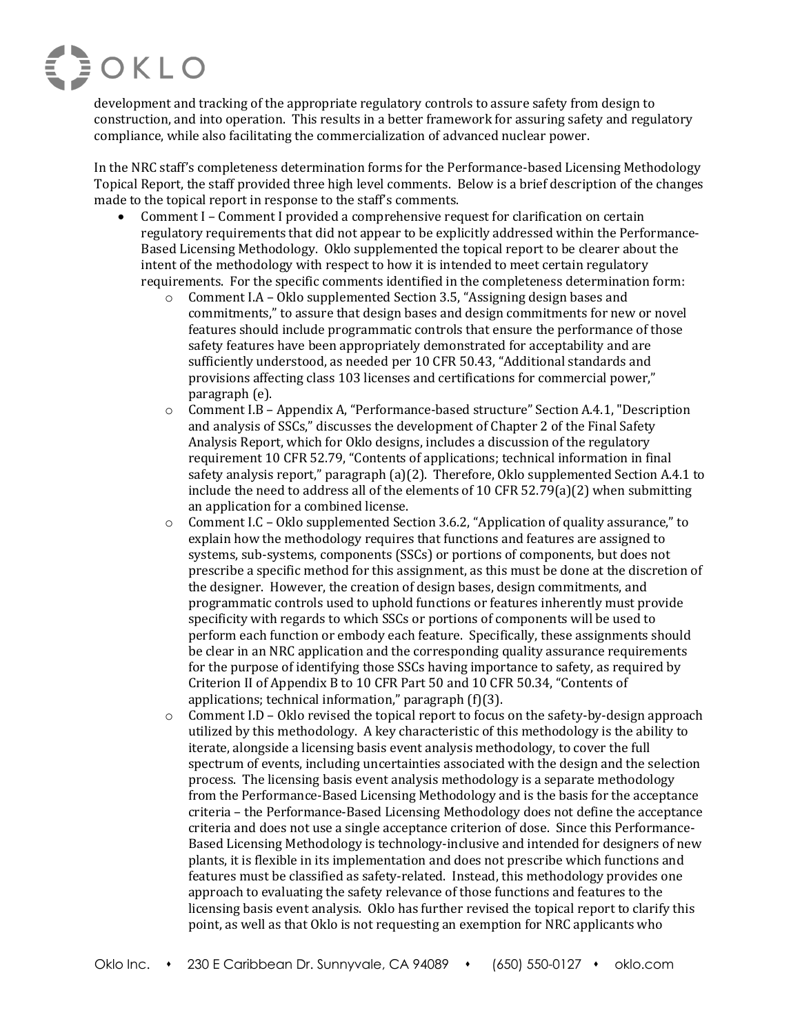

development and tracking of the appropriate regulatory controls to assure safety from design to construction, and into operation. This results in a better framework for assuring safety and regulatory compliance, while also facilitating the commercialization of advanced nuclear power.

In the NRC staff's completeness determination forms for the Performance-based Licensing Methodology Topical Report, the staff provided three high level comments. Below is a brief description of the changes made to the topical report in response to the staff's comments.

- Comment I Comment I provided a comprehensive request for clarification on certain regulatory requirements that did not appear to be explicitly addressed within the Performance-Based Licensing Methodology. Oklo supplemented the topical report to be clearer about the intent of the methodology with respect to how it is intended to meet certain regulatory requirements. For the specific comments identified in the completeness determination form:
	- $\circ$  Comment I.A Oklo supplemented Section 3.5, "Assigning design bases and commitments," to assure that design bases and design commitments for new or novel features should include programmatic controls that ensure the performance of those safety features have been appropriately demonstrated for acceptability and are sufficiently understood, as needed per 10 CFR 50.43, "Additional standards and provisions affecting class 103 licenses and certifications for commercial power," paragraph (e).
	- $\circ$  Comment I.B Appendix A, "Performance-based structure" Section A.4.1, "Description and analysis of SSCs," discusses the development of Chapter 2 of the Final Safety Analysis Report, which for Oklo designs, includes a discussion of the regulatory requirement 10 CFR 52.79, "Contents of applications; technical information in final safety analysis report," paragraph  $(a)(2)$ . Therefore, Oklo supplemented Section A.4.1 to include the need to address all of the elements of 10 CFR 52.79(a)(2) when submitting an application for a combined license.
	- $\circ$  Comment I.C Oklo supplemented Section 3.6.2, "Application of quality assurance," to explain how the methodology requires that functions and features are assigned to systems, sub-systems, components (SSCs) or portions of components, but does not prescribe a specific method for this assignment, as this must be done at the discretion of the designer. However, the creation of design bases, design commitments, and programmatic controls used to uphold functions or features inherently must provide specificity with regards to which SSCs or portions of components will be used to perform each function or embody each feature. Specifically, these assignments should be clear in an NRC application and the corresponding quality assurance requirements for the purpose of identifying those SSCs having importance to safety, as required by Criterion II of Appendix B to 10 CFR Part 50 and 10 CFR 50.34, "Contents of applications; technical information," paragraph  $(f)(3)$ .
	- $\circ$  Comment I.D Oklo revised the topical report to focus on the safety-by-design approach utilized by this methodology. A key characteristic of this methodology is the ability to iterate, alongside a licensing basis event analysis methodology, to cover the full spectrum of events, including uncertainties associated with the design and the selection process. The licensing basis event analysis methodology is a separate methodology from the Performance-Based Licensing Methodology and is the basis for the acceptance criteria - the Performance-Based Licensing Methodology does not define the acceptance criteria and does not use a single acceptance criterion of dose. Since this Performance-Based Licensing Methodology is technology-inclusive and intended for designers of new plants, it is flexible in its implementation and does not prescribe which functions and features must be classified as safety-related. Instead, this methodology provides one approach to evaluating the safety relevance of those functions and features to the licensing basis event analysis. Oklo has further revised the topical report to clarify this point, as well as that Oklo is not requesting an exemption for NRC applicants who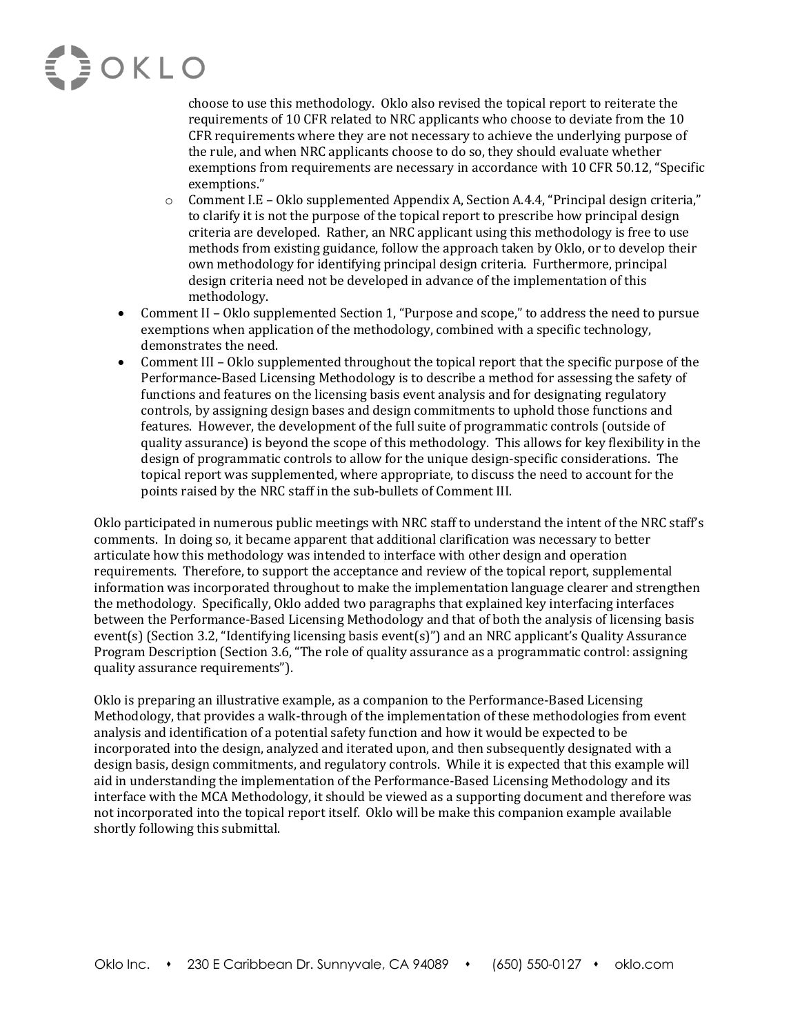## **EDOKLO**

choose to use this methodology. Oklo also revised the topical report to reiterate the requirements of 10 CFR related to NRC applicants who choose to deviate from the 10 CFR requirements where they are not necessary to achieve the underlying purpose of the rule, and when NRC applicants choose to do so, they should evaluate whether exemptions from requirements are necessary in accordance with 10 CFR 50.12, "Specific exemptions."

- $\circ$  Comment I.E Oklo supplemented Appendix A, Section A.4.4, "Principal design criteria," to clarify it is not the purpose of the topical report to prescribe how principal design criteria are developed. Rather, an NRC applicant using this methodology is free to use methods from existing guidance, follow the approach taken by Oklo, or to develop their own methodology for identifying principal design criteria. Furthermore, principal design criteria need not be developed in advance of the implementation of this methodology.
- Comment II Oklo supplemented Section 1, "Purpose and scope," to address the need to pursue exemptions when application of the methodology, combined with a specific technology, demonstrates the need.
- Comment III Oklo supplemented throughout the topical report that the specific purpose of the Performance-Based Licensing Methodology is to describe a method for assessing the safety of functions and features on the licensing basis event analysis and for designating regulatory controls, by assigning design bases and design commitments to uphold those functions and features. However, the development of the full suite of programmatic controls (outside of quality assurance) is beyond the scope of this methodology. This allows for key flexibility in the design of programmatic controls to allow for the unique design-specific considerations. The topical report was supplemented, where appropriate, to discuss the need to account for the points raised by the NRC staff in the sub-bullets of Comment III.

Oklo participated in numerous public meetings with NRC staff to understand the intent of the NRC staff's comments. In doing so, it became apparent that additional clarification was necessary to better articulate how this methodology was intended to interface with other design and operation requirements. Therefore, to support the acceptance and review of the topical report, supplemental information was incorporated throughout to make the implementation language clearer and strengthen the methodology. Specifically, Oklo added two paragraphs that explained key interfacing interfaces between the Performance-Based Licensing Methodology and that of both the analysis of licensing basis event(s) (Section 3.2, "Identifying licensing basis event(s)") and an NRC applicant's Quality Assurance Program Description (Section 3.6, "The role of quality assurance as a programmatic control: assigning quality assurance requirements").

Oklo is preparing an illustrative example, as a companion to the Performance-Based Licensing Methodology, that provides a walk-through of the implementation of these methodologies from event analysis and identification of a potential safety function and how it would be expected to be incorporated into the design, analyzed and iterated upon, and then subsequently designated with a design basis, design commitments, and regulatory controls. While it is expected that this example will aid in understanding the implementation of the Performance-Based Licensing Methodology and its interface with the MCA Methodology, it should be viewed as a supporting document and therefore was not incorporated into the topical report itself. Oklo will be make this companion example available shortly following this submittal.